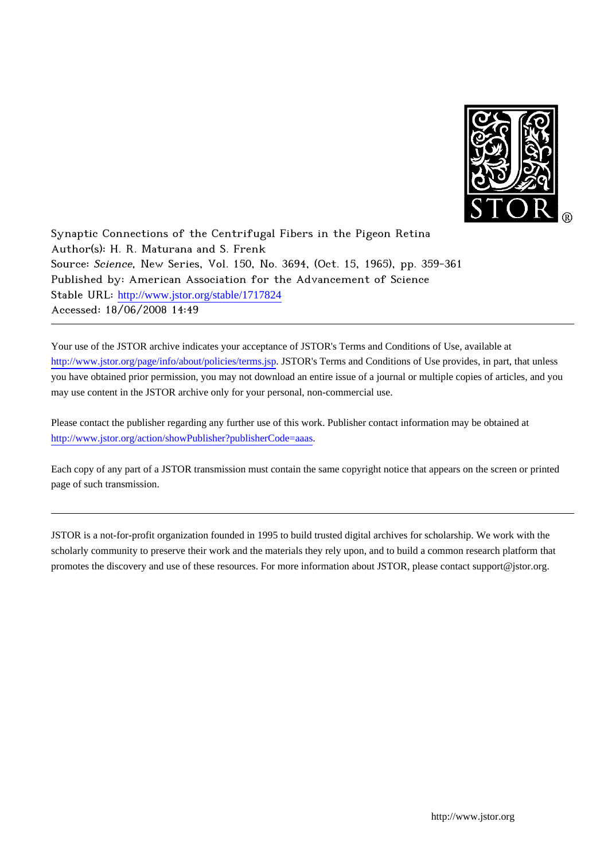

Synaptic Connections of the Centrifugal Fibers in the Pigeon Retina Author(s): H. R. Maturana and S. Frenk Source: Science, New Series, Vol. 150, No. 3694, (Oct. 15, 1965), pp. 359-361 Published by: American Association for the Advancement of Science Stable URL: [http://www.jstor.org/stable/1717824](http://www.jstor.org/stable/1717824?origin=JSTOR-pdf) Accessed: 18/06/2008 14:49

Your use of the JSTOR archive indicates your acceptance of JSTOR's Terms and Conditions of Use, available at <http://www.jstor.org/page/info/about/policies/terms.jsp>. JSTOR's Terms and Conditions of Use provides, in part, that unless you have obtained prior permission, you may not download an entire issue of a journal or multiple copies of articles, and you may use content in the JSTOR archive only for your personal, non-commercial use.

Please contact the publisher regarding any further use of this work. Publisher contact information may be obtained at <http://www.jstor.org/action/showPublisher?publisherCode=aaas>.

Each copy of any part of a JSTOR transmission must contain the same copyright notice that appears on the screen or printed page of such transmission.

JSTOR is a not-for-profit organization founded in 1995 to build trusted digital archives for scholarship. We work with the scholarly community to preserve their work and the materials they rely upon, and to build a common research platform that promotes the discovery and use of these resources. For more information about JSTOR, please contact support@jstor.org.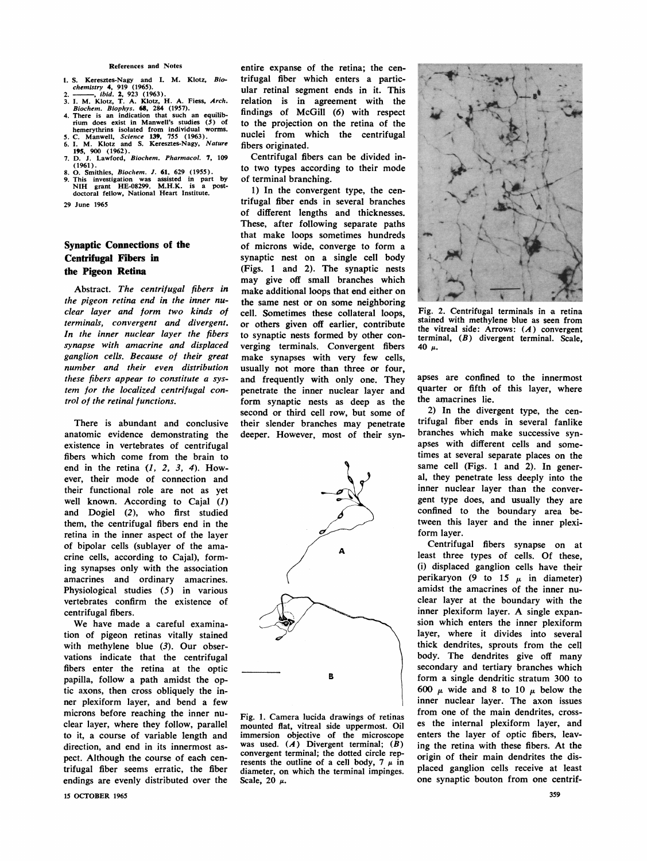## **References and Notes**

- 
- 
- 1. S. Keresztes-Nagy and I. M. Klotz, Biochemistry 4, 919 (1965).<br>
2. chemistry 4, 919 (1965).<br>
2. ibid. 2, 923 (1963).<br>
3. I. M. Klotz, T. A. Klotz, H. A. Fiess, Arch.<br>
Biochem. Biophys. 68, 284 (1957).<br>
4. There is an i
- 
- 
- **8. 0. Smithies, Biochem. J. 61, 629 (1955).**
- **9. This investigation was assisted in part by NIH grant HE-08299. M.H.K. is a post-doctoral fellow, National Heart Institute.**

**29 June 1965** 

## **Synaptic Connections of the Centrifugal Fibers in the Pigeon Retina**

**Abstract. The centrifugal fibers in the pigeon retina end in the inner nuclear layer and form two kinds of terminals, convergent and divergent. In the inner nuclear layer the fibers synapse with amacrine and displaced ganglion cells. Because of their great number and their even distribution these fibers appear to constitute a system for the localized centrifugal control of the retinal functions.** 

**There is abundant and conclusive anatomic evidence demonstrating the existence in vertebrates of centrifugal fibers which come from the brain to end in the retina (1, 2, 3, 4). However, their mode of connection and their functional role are not as yet well known. According to Cajal (1) and Dogiel (2), who first studied them, the centrifugal fibers end in the retina in the inner aspect of the layer of bipolar cells (sublayer of the amacrine cells, according to Cajal), forming synapses only with the association amacrines and ordinary amacrines. Physiological studies (5) in various vertebrates confirm the existence of centrifugal fibers.** 

**We have made a careful examination of pigeon retinas vitally stained**  with methylene blue (3). Our obser**vations indicate that the centrifugal fibers enter the retina at the optic papilla, follow a path amidst the optic axons, then cross obliquely the inner plexiform layer, and bend a few microns before reaching the inner nuclear layer, where they follow, parallel to it, a course of variable length and direction, and end in its innermost aspect. Although the course of each centrifugal fiber seems erratic, the fiber endings are evenly distributed over the** 

**entire expanse of the retina; the centrifugal fiber which enters a particular retinal segment ends in it. This relation is in agreement with the findings of McGill (6) with respect to the projection on the retina of the nuclei from which the centrifugal fibers originated.** 

**Centrifugal fibers can be divided into two types according to their mode of terminal branching.** 

**1) In the convergent type, the centrifugal fiber ends in several branches of different lengths and thicknesses. These, after following separate paths that make loops sometimes hundreds of microns wide, converge to form a synaptic nest on a single cell body (Figs. 1 and 2). The synaptic nests may give off small branches which make additional loops that end either on the same nest or on some neighboring cell. Sometimes these collateral loops, or others given off earlier, contribute to synaptic nests formed by other converging terminals. Convergent fibers make synapses with very few cells, usually not more than three or four, and frequently with only one. They penetrate the inner nuclear layer and form synaptic nests as deep as the second or third cell row, but some of their slender branches may penetrate deeper. However, most of their syn-**



**Fig. 1. Camera lucida drawings of retinas mounted flat, vitreal side uppermost. Oil immersion objective of the microscope was used. (A) Divergent terminal; (B)**  convergent terminal; the dotted circle rep-<br>resents the outline of a cell body. 7  $\mu$  in **resents the outline of a cell body,**  $7 \mu$  **in**  $\mu$  is  $\mu$  in  $\mu$ **diameter, on which the terminal impinges. Scale**, 20 *μ*.



Fig. 2. Centrifugal terminals in a retina **stained with methylene blue as seen from the vitreal side: Arrows: (A) convergent terminal, (B) divergent terminal. Scale, 40 u.** 

**apses are confined to the innermost quarter or fifth of this layer, where the amacrines lie.** 

**2) In the divergent type, the centrifugal fiber ends in several fanlike branches which make successive synapses with different cells and sometimes at several separate places on the same cell (Figs. 1 and 2). In general, they penetrate less deeply into the inner nuclear layer than the convergent type does, and usually they are confined to the boundary area between this layer and the inner plexiform layer.** 

**Centrifugal fibers synapse on at least three types of cells. Of these, (i) displaced ganglion cells have their perikaryon** (9 to 15  $\mu$  in diameter) **amidst the amacrines of the inner nuclear layer at the boundary with the inner plexiform layer. A single expansion which enters the inner plexiform layer, where it divides into several thick dendrites, sprouts from the cell body. The dendrites give off many secondary and tertiary branches which form a single dendritic stratum 300 to**  600  $\mu$  wide and 8 to 10  $\mu$  below the **inner nuclear layer. The axon issues from one of the main dendrites, crosses the internal plexiform layer, and enters the layer of optic fibers, leaving the retina with these fibers. At the origin of their main dendrites the displaced ganglion cells receive at least one synaptic bouton from one centrif-**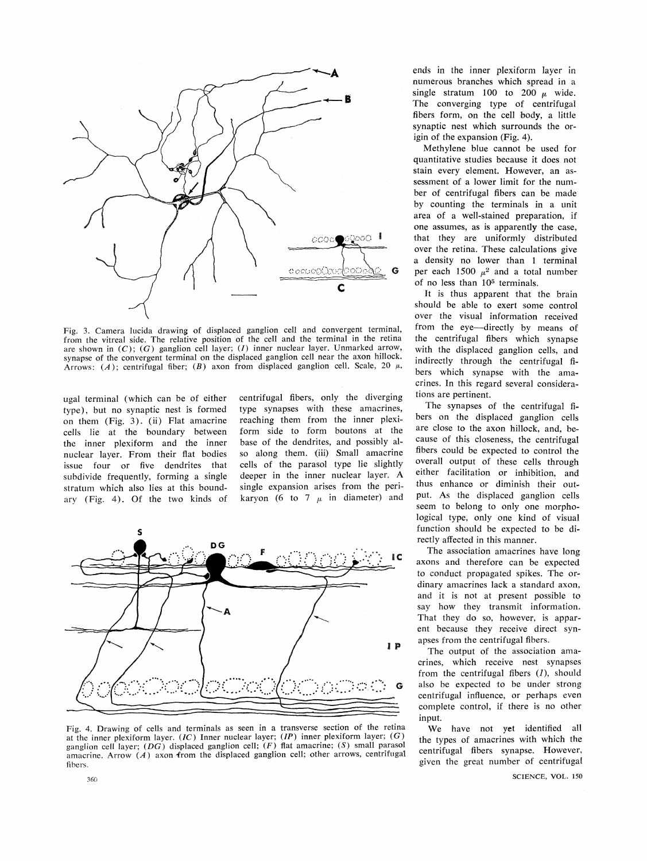

**Fig. 3. Camera lucida drawing of displaced ganglion cell and convergent terminal, from the vitreal side. The relative position of the cell and the terminal in the retina are shown in (C); (G) ganglion cell layer; (I) inner nuclear layer. Unmarked arrow, synapse of the convergent terminal on the displaced ganglion cell near the axon hillock.**  Arrows: (A); centrifugal fiber; (B) axon from displaced ganglion cell. Scale, 20  $\mu$ .

**ugal terminal (which can be of either type), but no synaptic nest is formed on them (Fig. 3). (ii) Flat amacrine cells lie at the boundary between the inner plexiform and the inner nuclear layer. From their flat bodies issue four or five dendrites that subdivide frequently, forming a single stratum which also lies at this boundary (Fig. 4). Of the two kinds of** 

**centrifugal fibers, only the diverging type synapses with these amacrines, reaching them from the inner plexiform side to form boutons at the base of the dendrites, and possibly also along them. (iii) Small amacrine cells of the parasol type lie slightly deeper in the inner nuclear layer. A single expansion arises from the peri**karyon (6 to 7  $\mu$  in diameter) and



**Fig. 4. Drawing of cells and terminals as seen in a transverse section of the retina at the inner plexiform layer. (IC) Inner nuclear layer; (IP) inner plexiform layer; (G) ganglion cell layer; (DG) displaced ganglion cell; (F) flat amacrine; (S) small parasol amacrine. Arrow (A) axon from the displaced ganglion cell; other arrows, centrifugal fibers.** 

**ends in the inner plexiform layer in numerous branches which spread in a**  single stratum 100 to 200  $\mu$  wide. **The converging type of centrifugal fibers form, on the cell body, a little synaptic nest which surrounds the origin of the expansion (Fig. 4).** 

**Methylene blue cannot be used for quantitative studies because it does not stain every element. However, an assessment of a lower limit for the number of centrifugal fibers can be made by counting the terminals in a unit area of a well-stained preparation, if one assumes, as is apparently the case, that they are uniformly distributed over the retina. These calculations give a density no lower than 1 terminal per each 1500**  $\mu^2$  and a total number **of no less than 1,05 terminals.** 

**It is thus apparent that the brain should be able to exert some control over the visual information received**  from the eye-directly by means of **the centrifugal fibers which synapse with the displaced ganglion cells, and indirectly through the centrifugal fibers which synapse with the amacrines. In this regard several considerations are pertinent.** 

**The synapses of the centrifugal fibers on the displaced ganglion cells are close to the axon hillock, and, because of this closeness, the centrifugal fibers could be expected to control the overall output of these cells through either facilitation or inhibition, and thus enhance or diminish their output. As the displaced ganglion cells seem to belong to only one morphological type, only one kind of visual function should be expected to be directly affected in this manner.** 

**The association amacrines have long axons and therefore can be expected to conduct propagated spikes. The ordinary amacrines lack a standard axon, and it is not at present possible to say how they transmit information. That they do so, however, is apparent because they receive direct synapses from the centrifugal fibers.** 

**The output of the association amacrines, which receive nest synapses from the centrifugal fibers (1), should also be expected to be under strong centrifugal influence, or perhaps even complete control, if there is no other input.** 

**We have not yet identified all the types of amacrines with which the centrifugal fibers synapse. However, given the great number of centrifugal**